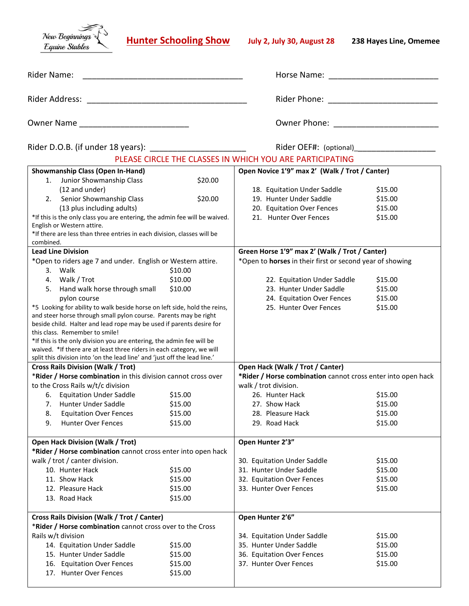New Beginnings Equine Stables

**Hunter Schooling Show July 2, July 30, August 28 238 Hayes Line, Omemee**

| Rider Name:    | Horse Name:  |
|----------------|--------------|
| Rider Address: | Rider Phone: |
| Owner Name     | Owner Phone: |

| Rider D.O.B. (if under 18 years) |  |
|----------------------------------|--|
|                                  |  |

Rider D.O.B. (if under 18 years): \_\_\_\_\_\_\_\_\_\_\_\_\_\_\_\_\_\_\_\_\_ Rider OEF#: (optional)\_\_\_\_\_\_\_\_\_\_\_\_\_\_\_\_\_\_

## PLEASE CIRCLE THE CLASSES IN WHICH YOU ARE PARTICIPATING

|                                                               | <b>Showmanship Class (Open In-Hand)</b>                                                                |                    |                                                              | Open Novice 1'9" max 2' (Walk / Trot / Canter)           |         |
|---------------------------------------------------------------|--------------------------------------------------------------------------------------------------------|--------------------|--------------------------------------------------------------|----------------------------------------------------------|---------|
| 1.                                                            | Junior Showmanship Class                                                                               | \$20.00            |                                                              |                                                          |         |
|                                                               | (12 and under)                                                                                         |                    |                                                              | 18. Equitation Under Saddle                              | \$15.00 |
|                                                               | 2. Senior Showmanship Class                                                                            | \$20.00            |                                                              | 19. Hunter Under Saddle                                  | \$15.00 |
|                                                               | (13 plus including adults)                                                                             |                    |                                                              | 20. Equitation Over Fences                               | \$15.00 |
|                                                               | *If this is the only class you are entering, the admin fee will be waived.                             |                    |                                                              | 21. Hunter Over Fences                                   | \$15.00 |
| English or Western attire.                                    |                                                                                                        |                    |                                                              |                                                          |         |
|                                                               | *If there are less than three entries in each division, classes will be                                |                    |                                                              |                                                          |         |
| combined.                                                     |                                                                                                        |                    |                                                              |                                                          |         |
| <b>Lead Line Division</b>                                     |                                                                                                        |                    |                                                              | Green Horse 1'9" max 2' (Walk / Trot / Canter)           |         |
|                                                               | *Open to riders age 7 and under. English or Western attire.                                            |                    |                                                              | *Open to horses in their first or second year of showing |         |
| 3. Walk                                                       |                                                                                                        | \$10.00            |                                                              |                                                          |         |
| 4.                                                            | Walk / Trot                                                                                            | \$10.00            |                                                              | 22. Equitation Under Saddle                              | \$15.00 |
| 5.                                                            | Hand walk horse through small                                                                          | \$10.00            |                                                              | 23. Hunter Under Saddle                                  | \$15.00 |
|                                                               | pylon course                                                                                           |                    |                                                              | 24. Equitation Over Fences                               | \$15.00 |
|                                                               | *5 Looking for ability to walk beside horse on left side, hold the reins,                              |                    |                                                              | 25. Hunter Over Fences                                   | \$15.00 |
|                                                               | and steer horse through small pylon course. Parents may be right                                       |                    |                                                              |                                                          |         |
|                                                               | beside child. Halter and lead rope may be used if parents desire for<br>this class. Remember to smile! |                    |                                                              |                                                          |         |
|                                                               | *If this is the only division you are entering, the admin fee will be                                  |                    |                                                              |                                                          |         |
|                                                               | waived. *If there are at least three riders in each category, we will                                  |                    |                                                              |                                                          |         |
|                                                               | split this division into 'on the lead line' and 'just off the lead line.'                              |                    |                                                              |                                                          |         |
|                                                               | <b>Cross Rails Division (Walk / Trot)</b>                                                              |                    |                                                              | Open Hack (Walk / Trot / Canter)                         |         |
| *Rider / Horse combination in this division cannot cross over |                                                                                                        |                    | *Rider / Horse combination cannot cross enter into open hack |                                                          |         |
|                                                               | to the Cross Rails w/t/c division                                                                      |                    | walk / trot division.                                        |                                                          |         |
| 6.                                                            | <b>Equitation Under Saddle</b>                                                                         | \$15.00            | 26. Hunter Hack                                              |                                                          | \$15.00 |
| 7.                                                            | <b>Hunter Under Saddle</b>                                                                             | \$15.00            | 27. Show Hack                                                |                                                          | \$15.00 |
| 8.                                                            | <b>Equitation Over Fences</b>                                                                          | \$15.00            | 28. Pleasure Hack                                            |                                                          | \$15.00 |
| 9.                                                            | <b>Hunter Over Fences</b>                                                                              | \$15.00            | 29. Road Hack                                                |                                                          | \$15.00 |
|                                                               |                                                                                                        |                    |                                                              |                                                          |         |
| <b>Open Hack Division (Walk / Trot)</b>                       |                                                                                                        | Open Hunter 2'3"   |                                                              |                                                          |         |
|                                                               | *Rider / Horse combination cannot cross enter into open hack                                           |                    |                                                              |                                                          |         |
|                                                               | walk / trot / canter division.                                                                         |                    | 30. Equitation Under Saddle                                  |                                                          | \$15.00 |
|                                                               | 10. Hunter Hack                                                                                        | \$15.00            | 31. Hunter Under Saddle                                      |                                                          | \$15.00 |
| 11. Show Hack                                                 |                                                                                                        | \$15.00            | 32. Equitation Over Fences                                   |                                                          | \$15.00 |
| 12. Pleasure Hack                                             |                                                                                                        |                    |                                                              |                                                          |         |
|                                                               |                                                                                                        |                    | 33. Hunter Over Fences                                       |                                                          |         |
|                                                               | 13. Road Hack                                                                                          | \$15.00            |                                                              |                                                          | \$15.00 |
|                                                               |                                                                                                        | \$15.00            |                                                              |                                                          |         |
|                                                               |                                                                                                        |                    |                                                              |                                                          |         |
|                                                               | <b>Cross Rails Division (Walk / Trot / Canter)</b>                                                     |                    | Open Hunter 2'6"                                             |                                                          |         |
| Rails w/t division                                            | *Rider / Horse combination cannot cross over to the Cross                                              |                    | 34. Equitation Under Saddle                                  |                                                          | \$15.00 |
|                                                               | 14. Equitation Under Saddle                                                                            |                    | 35. Hunter Under Saddle                                      |                                                          | \$15.00 |
|                                                               |                                                                                                        | \$15.00<br>\$15.00 | 36. Equitation Over Fences                                   |                                                          | \$15.00 |
|                                                               | 15. Hunter Under Saddle                                                                                |                    |                                                              |                                                          |         |
|                                                               | 16. Equitation Over Fences<br>17. Hunter Over Fences                                                   | \$15.00<br>\$15.00 | 37. Hunter Over Fences                                       |                                                          | \$15.00 |